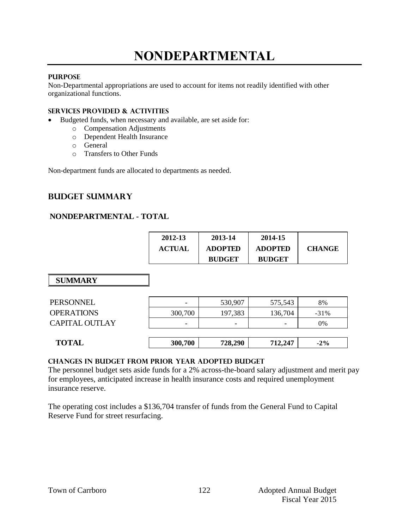# **NONDEPARTMENTAL**

#### **PURPOSE**

Non-Departmental appropriations are used to account for items not readily identified with other organizational functions.

#### **Services provided & activities**

- Budgeted funds, when necessary and available, are set aside for:
	- o Compensation Adjustments
		- o Dependent Health Insurance
		- o General
		- o Transfers to Other Funds

Non-department funds are allocated to departments as needed.

### **Budget summary**

#### **NONDEPARTMENTAL - TOTAL**

| 2012-13       | 2013-14        | 2014-15        |               |
|---------------|----------------|----------------|---------------|
| <b>ACTUAL</b> | <b>ADOPTED</b> | <b>ADOPTED</b> | <b>CHANGE</b> |
|               | <b>BUDGET</b>  | <b>BUDGET</b>  |               |

| <b>SUMMARY</b>        |                          |         |         |        |
|-----------------------|--------------------------|---------|---------|--------|
|                       |                          |         |         |        |
| PERSONNEL             | $\overline{\phantom{a}}$ | 530,907 | 575,543 | 8%     |
| <b>OPERATIONS</b>     | 300,700                  | 197,383 | 136,704 | $-31%$ |
| <b>CAPITAL OUTLAY</b> |                          |         |         | 0%     |
|                       |                          |         |         |        |
| <b>TOTAL</b>          | 300,700                  | 728,290 | 712,247 | $-2\%$ |

#### **Changes in budget from prior year adopted budget**

The personnel budget sets aside funds for a 2% across-the-board salary adjustment and merit pay for employees, anticipated increase in health insurance costs and required unemployment insurance reserve.

The operating cost includes a \$136,704 transfer of funds from the General Fund to Capital Reserve Fund for street resurfacing.